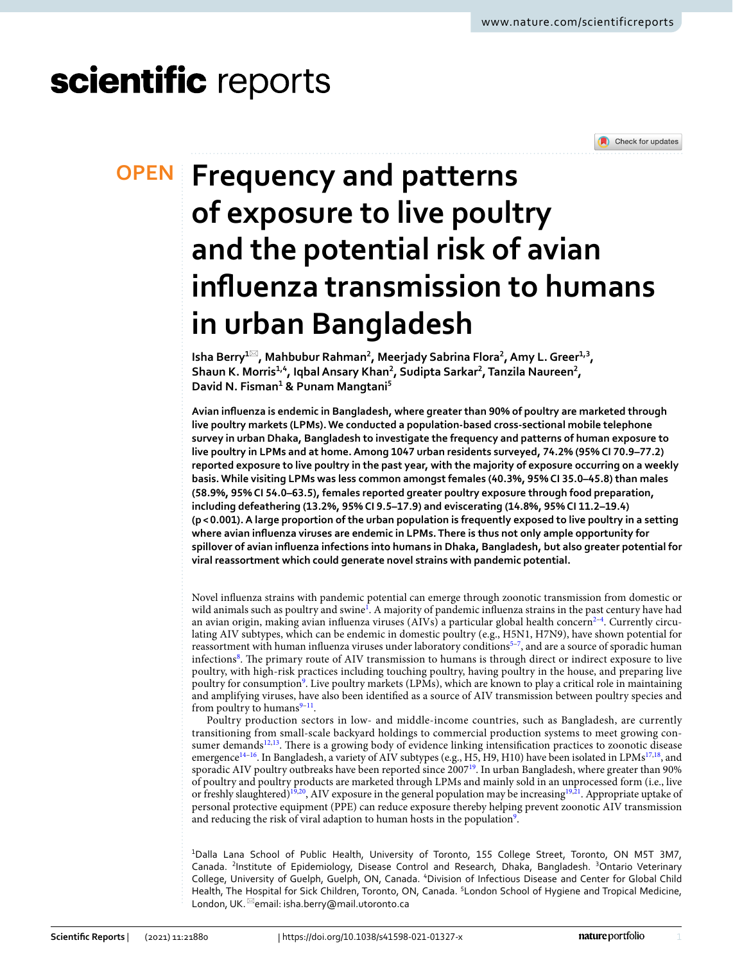# scientific reports



# **Frequency and patterns OPEN of exposure to live poultry and the potential risk of avian infuenza transmission to humans in urban Bangladesh**

**Isha Berry<sup>1⊠</sup>, Mahbubur Rahman<sup>2</sup>, Meerjady Sabrina Flora<sup>2</sup>, Amy L. Greer<sup>1,3</sup>, Shaun K. Morris1,4, IqbalAnsary Khan2 , Sudipta Sarkar2 , Tanzila Naureen2 , David N. Fisman1 & Punam Mangtani5**

**Avian infuenza is endemic in Bangladesh, where greater than 90% of poultry are marketed through live poultry markets (LPMs). We conducted a population-based cross-sectional mobile telephone survey in urban Dhaka, Bangladesh to investigate the frequency and patterns of human exposure to live poultry in LPMs and at home. Among 1047 urban residents surveyed, 74.2% (95% CI 70.9–77.2) reported exposure to live poultry in the past year, with the majority of exposure occurring on a weekly basis. While visiting LPMs was less common amongst females (40.3%, 95% CI 35.0–45.8) than males (58.9%, 95% CI 54.0–63.5), females reported greater poultry exposure through food preparation, including defeathering (13.2%, 95% CI 9.5–17.9) and eviscerating (14.8%, 95% CI 11.2–19.4) (p< 0.001). A large proportion of the urban population is frequently exposed to live poultry in a setting where avian infuenza viruses are endemic in LPMs. There is thus not only ample opportunity for spillover of avian infuenza infections into humans in Dhaka, Bangladesh, but also greater potential for viral reassortment which could generate novel strains with pandemic potential.**

Novel infuenza strains with pandemic potential can emerge through zoonotic transmission from domestic or wild animals such as poultry and swine<sup>[1](#page-7-0)</sup>. A majority of pandemic influenza strains in the past century have had an avian origin, making avian influenza viruses (AIVs) a particular global health concern<sup>2-[4](#page-7-2)</sup>. Currently circulating AIV subtypes, which can be endemic in domestic poultry (e.g., H5N1, H7N9), have shown potential for reassortment with human influenza viruses under laboratory conditions<sup>5-7</sup>, and are a source of sporadic human infections<sup>8</sup>. The primary route of AIV transmission to humans is through direct or indirect exposure to live poultry, with high-risk practices including touching poultry, having poultry in the house, and preparing live poultry for consumption<sup>9</sup>. Live poultry markets (LPMs), which are known to play a critical role in maintaining and amplifying viruses, have also been identifed as a source of AIV transmission between poultry species and from poultry to humans $9-11$ .

Poultry production sectors in low- and middle-income countries, such as Bangladesh, are currently transitioning from small-scale backyard holdings to commercial production systems to meet growing consumer demands $12,13$  $12,13$ . There is a growing body of evidence linking intensification practices to zoonotic disease emergence<sup>14–16</sup>. In Bangladesh, a variety of AIV subtypes (e.g., H5, H9, H10) have been isolated in LPMs<sup>17,18</sup>, and sporadic AIV poultry outbreaks have been reported since 2007<sup>19</sup>. In urban Bangladesh, where greater than 90% of poultry and poultry products are marketed through LPMs and mainly sold in an unprocessed form (i.e., live or freshly slaughtered)<sup>[19](#page-7-14),[20](#page-7-15)</sup>, AIV exposure in the general population may be increasing<sup>19,21</sup>. Appropriate uptake of personal protective equipment (PPE) can reduce exposure thereby helping prevent zoonotic AIV transmission and reducing the risk of viral adaption to human hosts in the population<sup>9</sup>.

1 Dalla Lana School of Public Health, University of Toronto, 155 College Street, Toronto, ON M5T 3M7, Canada. <sup>2</sup>Institute of Epidemiology, Disease Control and Research, Dhaka, Bangladesh. <sup>3</sup>Ontario Veterinary College, University of Guelph, Guelph, ON, Canada. "Division of Infectious Disease and Center for Global Child Health, The Hospital for Sick Children, Toronto, ON, Canada. <sup>5</sup>London School of Hygiene and Tropical Medicine, London, UK. <sup>22</sup>email: isha.berry@mail.utoronto.ca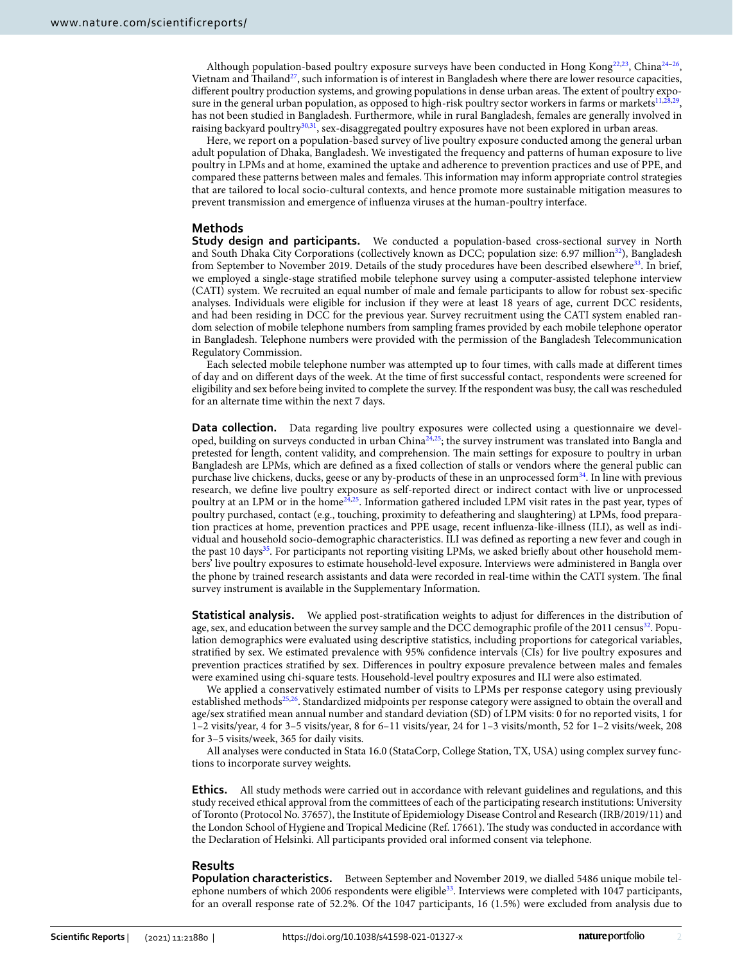Although population-based poultry exposure surveys have been conducted in Hong Kong<sup>[22,](#page-7-17)23</sup>, China<sup>[24](#page-7-19)[–26](#page-7-20)</sup>, Vietnam and Thailand<sup>[27](#page-7-21)</sup>, such information is of interest in Bangladesh where there are lower resource capacities, different poultry production systems, and growing populations in dense urban areas. The extent of poultry expo-sure in the general urban population, as opposed to high-risk poultry sector workers in farms or markets<sup>11[,28](#page-7-22)[,29](#page-7-23)</sup>, has not been studied in Bangladesh. Furthermore, while in rural Bangladesh, females are generally involved in raising backyard poultry[30](#page-7-24),[31](#page-8-0), sex-disaggregated poultry exposures have not been explored in urban areas.

Here, we report on a population-based survey of live poultry exposure conducted among the general urban adult population of Dhaka, Bangladesh. We investigated the frequency and patterns of human exposure to live poultry in LPMs and at home, examined the uptake and adherence to prevention practices and use of PPE, and compared these patterns between males and females. Tis information may inform appropriate control strategies that are tailored to local socio-cultural contexts, and hence promote more sustainable mitigation measures to prevent transmission and emergence of infuenza viruses at the human-poultry interface.

### **Methods**

**Study design and participants.** We conducted a population-based cross-sectional survey in North and South Dhaka City Corporations (collectively known as DCC; population size: 6.97 million<sup>[32](#page-8-1)</sup>), Bangladesh from September to November 2019. Details of the study procedures have been described elsewhere<sup>33</sup>. In brief, we employed a single-stage stratifed mobile telephone survey using a computer-assisted telephone interview (CATI) system. We recruited an equal number of male and female participants to allow for robust sex-specifc analyses. Individuals were eligible for inclusion if they were at least 18 years of age, current DCC residents, and had been residing in DCC for the previous year. Survey recruitment using the CATI system enabled random selection of mobile telephone numbers from sampling frames provided by each mobile telephone operator in Bangladesh. Telephone numbers were provided with the permission of the Bangladesh Telecommunication Regulatory Commission.

Each selected mobile telephone number was attempted up to four times, with calls made at diferent times of day and on diferent days of the week. At the time of frst successful contact, respondents were screened for eligibility and sex before being invited to complete the survey. If the respondent was busy, the call was rescheduled for an alternate time within the next 7 days.

**Data collection.** Data regarding live poultry exposures were collected using a questionnaire we developed, building on surveys conducted in urban China[24,](#page-7-19)[25;](#page-7-25) the survey instrument was translated into Bangla and pretested for length, content validity, and comprehension. The main settings for exposure to poultry in urban Bangladesh are LPMs, which are defned as a fxed collection of stalls or vendors where the general public can purchase live chickens, ducks, geese or any by-products of these in an unprocessed form<sup>34</sup>. In line with previous research, we defne live poultry exposure as self-reported direct or indirect contact with live or unprocessed poultry at an LPM or in the hom[e24,](#page-7-19)[25.](#page-7-25) Information gathered included LPM visit rates in the past year, types of poultry purchased, contact (e.g., touching, proximity to defeathering and slaughtering) at LPMs, food preparation practices at home, prevention practices and PPE usage, recent infuenza-like-illness (ILI), as well as individual and household socio-demographic characteristics. ILI was defned as reporting a new fever and cough in the past 10 days<sup>[35](#page-8-4)</sup>. For participants not reporting visiting LPMs, we asked briefly about other household members' live poultry exposures to estimate household-level exposure. Interviews were administered in Bangla over the phone by trained research assistants and data were recorded in real-time within the CATI system. The final survey instrument is available in the Supplementary Information.

**Statistical analysis.** We applied post-stratification weights to adjust for differences in the distribution of age, sex, and education between the survey sample and the DCC demographic profile of the 2011 census<sup>32</sup>. Population demographics were evaluated using descriptive statistics, including proportions for categorical variables, stratifed by sex. We estimated prevalence with 95% confdence intervals (CIs) for live poultry exposures and prevention practices stratifed by sex. Diferences in poultry exposure prevalence between males and females were examined using chi-square tests. Household-level poultry exposures and ILI were also estimated.

We applied a conservatively estimated number of visits to LPMs per response category using previously established methods<sup>25[,26](#page-7-20)</sup>. Standardized midpoints per response category were assigned to obtain the overall and age/sex stratifed mean annual number and standard deviation (SD) of LPM visits: 0 for no reported visits, 1 for 1–2 visits/year, 4 for 3–5 visits/year, 8 for 6–11 visits/year, 24 for 1–3 visits/month, 52 for 1–2 visits/week, 208 for 3–5 visits/week, 365 for daily visits.

All analyses were conducted in Stata 16.0 (StataCorp, College Station, TX, USA) using complex survey functions to incorporate survey weights.

**Ethics.** All study methods were carried out in accordance with relevant guidelines and regulations, and this study received ethical approval from the committees of each of the participating research institutions: University of Toronto (Protocol No. 37657), the Institute of Epidemiology Disease Control and Research (IRB/2019/11) and the London School of Hygiene and Tropical Medicine (Ref. 17661). The study was conducted in accordance with the Declaration of Helsinki. All participants provided oral informed consent via telephone.

#### **Results**

**Population characteristics.** Between September and November 2019, we dialled 5486 unique mobile tel-ephone numbers of which 2006 respondents were eligible<sup>[33](#page-8-2)</sup>. Interviews were completed with 1047 participants, for an overall response rate of 52.2%. Of the 1047 participants, 16 (1.5%) were excluded from analysis due to

2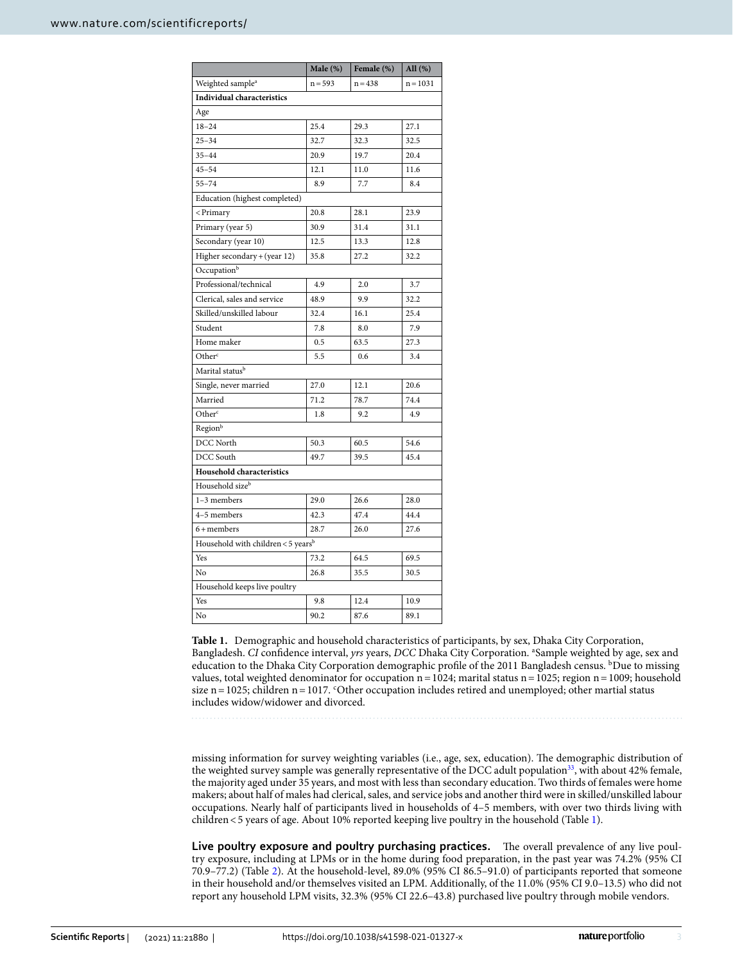|                                                                    | Male $(\%)$ | Female (%) | All (%)    |  |  |  |  |  |
|--------------------------------------------------------------------|-------------|------------|------------|--|--|--|--|--|
| Weighted sample <sup>a</sup>                                       | $n = 593$   | $n = 438$  | $n = 1031$ |  |  |  |  |  |
| <b>Individual characteristics</b>                                  |             |            |            |  |  |  |  |  |
| Age                                                                |             |            |            |  |  |  |  |  |
| $18 - 24$                                                          | 25.4        | 29.3       | 27.1       |  |  |  |  |  |
| $25 - 34$                                                          | 32.7        | 32.3       | 32.5       |  |  |  |  |  |
| $35 - 44$                                                          | 20.9        | 19.7       | 20.4       |  |  |  |  |  |
| $45 - 54$                                                          | 12.1        | 11.0       | 11.6       |  |  |  |  |  |
| $55 - 74$                                                          | 8.9         | 7.7        | 8.4        |  |  |  |  |  |
| Education (highest completed)                                      |             |            |            |  |  |  |  |  |
| <primary< td=""><td>20.8</td><td>28.1</td><td>23.9</td></primary<> | 20.8        | 28.1       | 23.9       |  |  |  |  |  |
| Primary (year 5)                                                   | 30.9        | 31.4       | 31.1       |  |  |  |  |  |
| Secondary (year 10)                                                | 12.5        | 13.3       | 12.8       |  |  |  |  |  |
| Higher secondary + (year 12)                                       | 35.8        | 27.2       | 32.2       |  |  |  |  |  |
| Occupation <sup>b</sup>                                            |             |            |            |  |  |  |  |  |
| Professional/technical                                             | 4.9         | 2.0        | 3.7        |  |  |  |  |  |
| Clerical, sales and service                                        | 48.9        | 9.9        | 32.2       |  |  |  |  |  |
| Skilled/unskilled labour                                           | 32.4        | 16.1       | 25.4       |  |  |  |  |  |
| Student                                                            | 7.8         | 8.0        | 7.9        |  |  |  |  |  |
| Home maker                                                         | 0.5         | 63.5       | 27.3       |  |  |  |  |  |
| Other <sup>c</sup>                                                 | 5.5         | 0.6        | 3.4        |  |  |  |  |  |
| Marital status <sup>b</sup>                                        |             |            |            |  |  |  |  |  |
| Single, never married                                              | 27.0        | 12.1       | 20.6       |  |  |  |  |  |
| Married                                                            | 71.2        | 78.7       | 74.4       |  |  |  |  |  |
| Other <sup>c</sup>                                                 | 1.8         | 9.2        | 4.9        |  |  |  |  |  |
| Regionb                                                            |             |            |            |  |  |  |  |  |
| DCC North                                                          | 50.3        | 60.5       | 54.6       |  |  |  |  |  |
| DCC South                                                          | 49.7        | 39.5       | 45.4       |  |  |  |  |  |
| Household characteristics                                          |             |            |            |  |  |  |  |  |
| Household size <sup>b</sup>                                        |             |            |            |  |  |  |  |  |
| $1-3$ members                                                      | 29.0        | 26.6       | 28.0       |  |  |  |  |  |
| 4-5 members                                                        | 42.3        | 47.4       | 44.4       |  |  |  |  |  |
| $6 +$ members                                                      | 28.7        | 26.0       | 27.6       |  |  |  |  |  |
| Household with children <5 yearsb                                  |             |            |            |  |  |  |  |  |
| Yes                                                                | 73.2        | 64.5       | 69.5       |  |  |  |  |  |
| No                                                                 | 26.8        | 35.5       | 30.5       |  |  |  |  |  |
| Household keeps live poultry                                       |             |            |            |  |  |  |  |  |
| Yes                                                                | 9.8         | 12.4       | 10.9       |  |  |  |  |  |
| No                                                                 | 90.2        | 87.6       | 89.1       |  |  |  |  |  |

<span id="page-2-0"></span>**Table 1.** Demographic and household characteristics of participants, by sex, Dhaka City Corporation, Bangladesh. *CI* confdence interval, *yrs* years, *DCC* Dhaka City Corporation. a Sample weighted by age, sex and education to the Dhaka City Corporation demographic profile of the 2011 Bangladesh census. <sup>b</sup>Due to missing values, total weighted denominator for occupation n=1024; marital status n=1025; region n=1009; household size n = 1025; children n = 1017. < Other occupation includes retired and unemployed; other martial status includes widow/widower and divorced.

missing information for survey weighting variables (i.e., age, sex, education). The demographic distribution of the weighted survey sample was generally representative of the DCC adult population<sup>33</sup>, with about 42% female, the majority aged under 35 years, and most with less than secondary education. Two thirds of females were home makers; about half of males had clerical, sales, and service jobs and another third were in skilled/unskilled labour occupations. Nearly half of participants lived in households of 4–5 members, with over two thirds living with children<5 years of age. About 10% reported keeping live poultry in the household (Table [1\)](#page-2-0).

**Live poultry exposure and poultry purchasing practices.** The overall prevalence of any live poultry exposure, including at LPMs or in the home during food preparation, in the past year was 74.2% (95% CI 70.9–77.2) (Table [2](#page-3-0)). At the household-level, 89.0% (95% CI 86.5–91.0) of participants reported that someone in their household and/or themselves visited an LPM. Additionally, of the 11.0% (95% CI 9.0–13.5) who did not report any household LPM visits, 32.3% (95% CI 22.6–43.8) purchased live poultry through mobile vendors.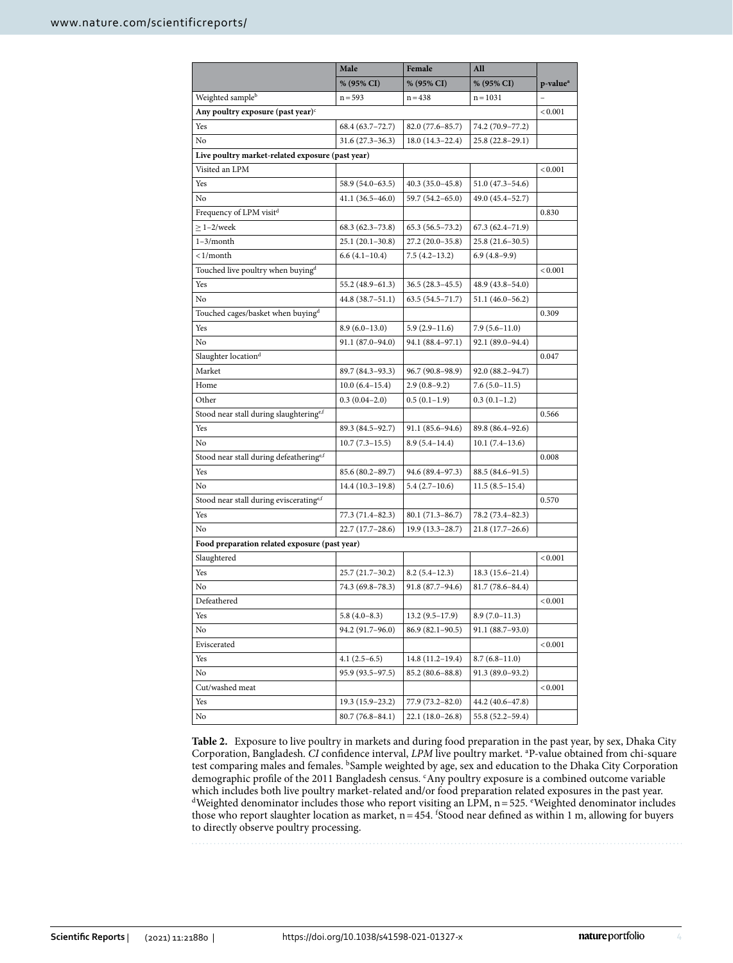|                                                  | Male                | Female              | All                 |                      |  |  |  |  |
|--------------------------------------------------|---------------------|---------------------|---------------------|----------------------|--|--|--|--|
|                                                  | % (95% CI)          | % (95% CI)          | % (95% CI)          | p-value <sup>a</sup> |  |  |  |  |
| Weighted sample <sup>b</sup>                     | $n = 593$           | $n = 438$           | $n = 1031$          |                      |  |  |  |  |
| Any poultry exposure (past year) $\epsilon$      |                     |                     |                     | < 0.001              |  |  |  |  |
| Yes                                              | 68.4 (63.7 - 72.7)  | 82.0 (77.6-85.7)    | 74.2 (70.9-77.2)    |                      |  |  |  |  |
| No                                               | $31.6(27.3 - 36.3)$ | $18.0(14.3-22.4)$   | $25.8(22.8-29.1)$   |                      |  |  |  |  |
| Live poultry market-related exposure (past year) |                     |                     |                     |                      |  |  |  |  |
| Visited an LPM                                   |                     |                     |                     | < 0.001              |  |  |  |  |
| Yes                                              | 58.9 (54.0–63.5)    | $40.3(35.0-45.8)$   | $51.0(47.3 - 54.6)$ |                      |  |  |  |  |
| No                                               | $41.1(36.5 - 46.0)$ | 59.7 (54.2-65.0)    | 49.0 (45.4–52.7)    |                      |  |  |  |  |
| Frequency of LPM visit <sup>d</sup>              |                     |                     |                     | 0.830                |  |  |  |  |
| $\geq$ 1-2/week                                  | $68.3(62.3 - 73.8)$ | $65.3(56.5 - 73.2)$ | $67.3(62.4 - 71.9)$ |                      |  |  |  |  |
| $1-3/month$                                      | $25.1(20.1-30.8)$   | 27.2 (20.0-35.8)    | 25.8 (21.6-30.5)    |                      |  |  |  |  |
| $\langle 1/month$                                | $6.6(4.1-10.4)$     | $7.5(4.2-13.2)$     | $6.9(4.8-9.9)$      |                      |  |  |  |  |
| Touched live poultry when buying <sup>d</sup>    |                     |                     |                     | < 0.001              |  |  |  |  |
| Yes                                              | 55.2 (48.9-61.3)    | $36.5(28.3-45.5)$   | $48.9(43.8 - 54.0)$ |                      |  |  |  |  |
| No                                               | 44.8 (38.7-51.1)    | $63.5(54.5 - 71.7)$ | $51.1(46.0 - 56.2)$ |                      |  |  |  |  |
| Touched cages/basket when buying <sup>d</sup>    |                     |                     |                     | 0.309                |  |  |  |  |
| Yes                                              | $8.9(6.0-13.0)$     | $5.9(2.9-11.6)$     | $7.9(5.6 - 11.0)$   |                      |  |  |  |  |
| No                                               | 91.1 (87.0–94.0)    | 94.1 (88.4-97.1)    | 92.1 (89.0-94.4)    |                      |  |  |  |  |
| Slaughter location <sup>d</sup>                  |                     |                     |                     | 0.047                |  |  |  |  |
| Market                                           | 89.7 (84.3-93.3)    | 96.7 (90.8-98.9)    | 92.0 (88.2-94.7)    |                      |  |  |  |  |
| Home                                             | $10.0(6.4-15.4)$    | $2.9(0.8-9.2)$      | $7.6(5.0-11.5)$     |                      |  |  |  |  |
| Other                                            | $0.3(0.04-2.0)$     | $0.5(0.1-1.9)$      | $0.3(0.1-1.2)$      |                      |  |  |  |  |
| Stood near stall during slaughteringe,f          |                     |                     |                     | 0.566                |  |  |  |  |
| Yes                                              | 89.3 (84.5-92.7)    | $91.1(85.6 - 94.6)$ | 89.8 (86.4-92.6)    |                      |  |  |  |  |
| No                                               | $10.7(7.3-15.5)$    | $8.9(5.4 - 14.4)$   | $10.1(7.4-13.6)$    |                      |  |  |  |  |
| Stood near stall during defeatheringe,f          |                     |                     |                     | 0.008                |  |  |  |  |
| Yes                                              | $85.6(80.2 - 89.7)$ | 94.6 (89.4–97.3)    | $88.5(84.6 - 91.5)$ |                      |  |  |  |  |
| No                                               | $14.4(10.3-19.8)$   | $5.4(2.7-10.6)$     | $11.5(8.5-15.4)$    |                      |  |  |  |  |
| Stood near stall during evisceratinge,f          |                     |                     |                     | 0.570                |  |  |  |  |
| Yes                                              | 77.3 (71.4-82.3)    | $80.1(71.3-86.7)$   | 78.2 (73.4–82.3)    |                      |  |  |  |  |
| No                                               | $22.7(17.7-28.6)$   | 19.9 (13.3-28.7)    | $21.8(17.7-26.6)$   |                      |  |  |  |  |
| Food preparation related exposure (past year)    |                     |                     |                     |                      |  |  |  |  |
| Slaughtered                                      |                     |                     |                     | < 0.001              |  |  |  |  |
| Yes                                              | $25.7(21.7-30.2)$   | $8.2(5.4-12.3)$     | $18.3(15.6-21.4)$   |                      |  |  |  |  |
| No                                               | 74.3 (69.8-78.3)    | 91.8 (87.7-94.6)    | $81.7(78.6 - 84.4)$ |                      |  |  |  |  |
| Defeathered                                      |                     |                     |                     | < 0.001              |  |  |  |  |
| Yes                                              | $5.8(4.0-8.3)$      | $13.2(9.5 - 17.9)$  | $8.9(7.0 - 11.3)$   |                      |  |  |  |  |
| No                                               | 94.2 (91.7–96.0)    | $86.9(82.1 - 90.5)$ | 91.1 (88.7–93.0)    |                      |  |  |  |  |
| Eviscerated                                      |                     |                     |                     | < 0.001              |  |  |  |  |
| Yes                                              | $4.1(2.5-6.5)$      | $14.8(11.2-19.4)$   | $8.7(6.8-11.0)$     |                      |  |  |  |  |
| No                                               | 95.9 (93.5–97.5)    | 85.2 (80.6–88.8)    | 91.3 (89.0–93.2)    |                      |  |  |  |  |
| Cut/washed meat                                  |                     |                     |                     | < 0.001              |  |  |  |  |
| Yes                                              | $19.3(15.9-23.2)$   | 77.9 (73.2–82.0)    | 44.2 (40.6–47.8)    |                      |  |  |  |  |
| No                                               | 80.7 (76.8-84.1)    | $22.1(18.0-26.8)$   | 55.8 (52.2–59.4)    |                      |  |  |  |  |

<span id="page-3-0"></span>**Table 2.** Exposure to live poultry in markets and during food preparation in the past year, by sex, Dhaka City Corporation, Bangladesh. *CI* confdence interval, *LPM* live poultry market. a P-value obtained from chi-square test comparing males and females. <sup>b</sup>Sample weighted by age, sex and education to the Dhaka City Corporation demographic profile of the 2011 Bangladesh census. 'Any poultry exposure is a combined outcome variable which includes both live poultry market-related and/or food preparation related exposures in the past year.  $d$ Weighted denominator includes those who report visiting an LPM,  $n = 525$ . *Weighted denominator includes* those who report slaughter location as market,  $n = 454$ . <sup>f</sup>Stood near defined as within 1 m, allowing for buyers to directly observe poultry processing.

4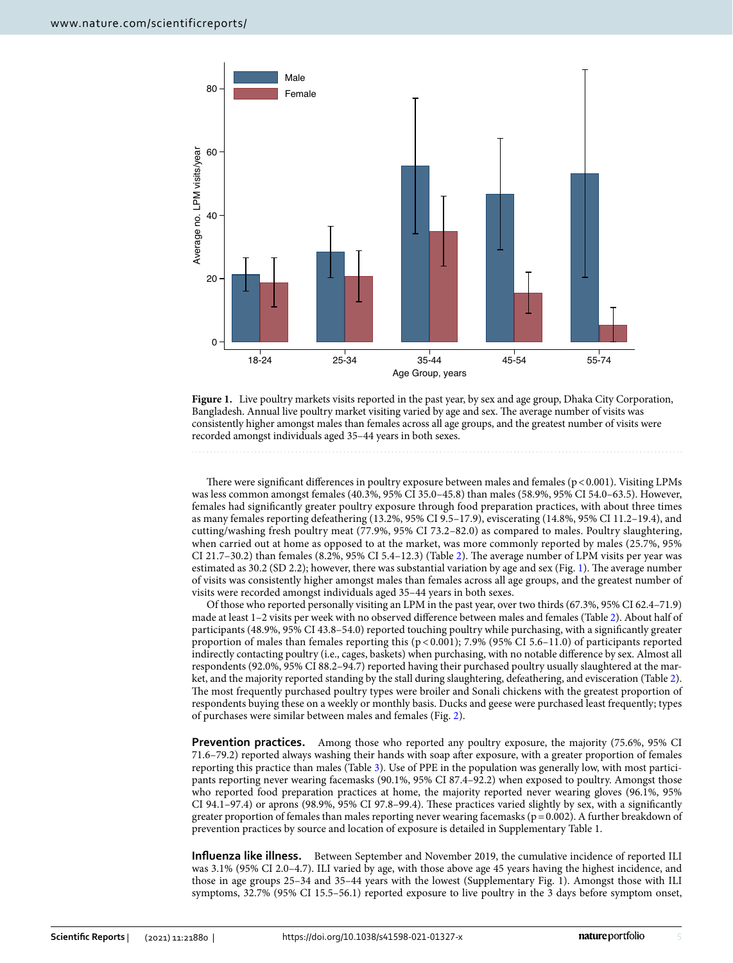

<span id="page-4-0"></span>**Figure 1.** Live poultry markets visits reported in the past year, by sex and age group, Dhaka City Corporation, Bangladesh. Annual live poultry market visiting varied by age and sex. The average number of visits was consistently higher amongst males than females across all age groups, and the greatest number of visits were recorded amongst individuals aged 35–44 years in both sexes.

There were significant differences in poultry exposure between males and females ( $p < 0.001$ ). Visiting LPMs was less common amongst females (40.3%, 95% CI 35.0–45.8) than males (58.9%, 95% CI 54.0–63.5). However, females had signifcantly greater poultry exposure through food preparation practices, with about three times as many females reporting defeathering (13.2%, 95% CI 9.5–17.9), eviscerating (14.8%, 95% CI 11.2–19.4), and cutting/washing fresh poultry meat (77.9%, 95% CI 73.2–82.0) as compared to males. Poultry slaughtering, when carried out at home as opposed to at the market, was more commonly reported by males (25.7%, 95% CI [2](#page-3-0)1.7–30.2) than females  $(8.2\% , 95\%$  CI 5.4–12.3) (Table 2). The average number of LPM visits per year was estimated as  $30.2$  (SD 2.2); however, there was substantial variation by age and sex (Fig. [1\)](#page-4-0). The average number of visits was consistently higher amongst males than females across all age groups, and the greatest number of visits were recorded amongst individuals aged 35–44 years in both sexes.

Of those who reported personally visiting an LPM in the past year, over two thirds (67.3%, 95% CI 62.4–71.9) made at least 1–2 visits per week with no observed diference between males and females (Table [2](#page-3-0)). About half of participants (48.9%, 95% CI 43.8–54.0) reported touching poultry while purchasing, with a signifcantly greater proportion of males than females reporting this (p < 0.001); 7.9% (95% CI 5.6–11.0) of participants reported indirectly contacting poultry (i.e., cages, baskets) when purchasing, with no notable diference by sex. Almost all respondents (92.0%, 95% CI 88.2–94.7) reported having their purchased poultry usually slaughtered at the market, and the majority reported standing by the stall during slaughtering, defeathering, and evisceration (Table [2](#page-3-0)). The most frequently purchased poultry types were broiler and Sonali chickens with the greatest proportion of respondents buying these on a weekly or monthly basis. Ducks and geese were purchased least frequently; types of purchases were similar between males and females (Fig. [2\)](#page-5-0).

**Prevention practices.** Among those who reported any poultry exposure, the majority (75.6%, 95% CI 71.6–79.2) reported always washing their hands with soap afer exposure, with a greater proportion of females reporting this practice than males (Table [3](#page-5-1)). Use of PPE in the population was generally low, with most participants reporting never wearing facemasks (90.1%, 95% CI 87.4–92.2) when exposed to poultry. Amongst those who reported food preparation practices at home, the majority reported never wearing gloves (96.1%, 95% CI 94.1–97.4) or aprons (98.9%, 95% CI 97.8–99.4). Tese practices varied slightly by sex, with a signifcantly greater proportion of females than males reporting never wearing facemasks ( $p=0.002$ ). A further breakdown of prevention practices by source and location of exposure is detailed in Supplementary Table 1.

**Infuenza like illness.** Between September and November 2019, the cumulative incidence of reported ILI was 3.1% (95% CI 2.0–4.7). ILI varied by age, with those above age 45 years having the highest incidence, and those in age groups 25–34 and 35–44 years with the lowest (Supplementary Fig. 1). Amongst those with ILI symptoms, 32.7% (95% CI 15.5–56.1) reported exposure to live poultry in the 3 days before symptom onset,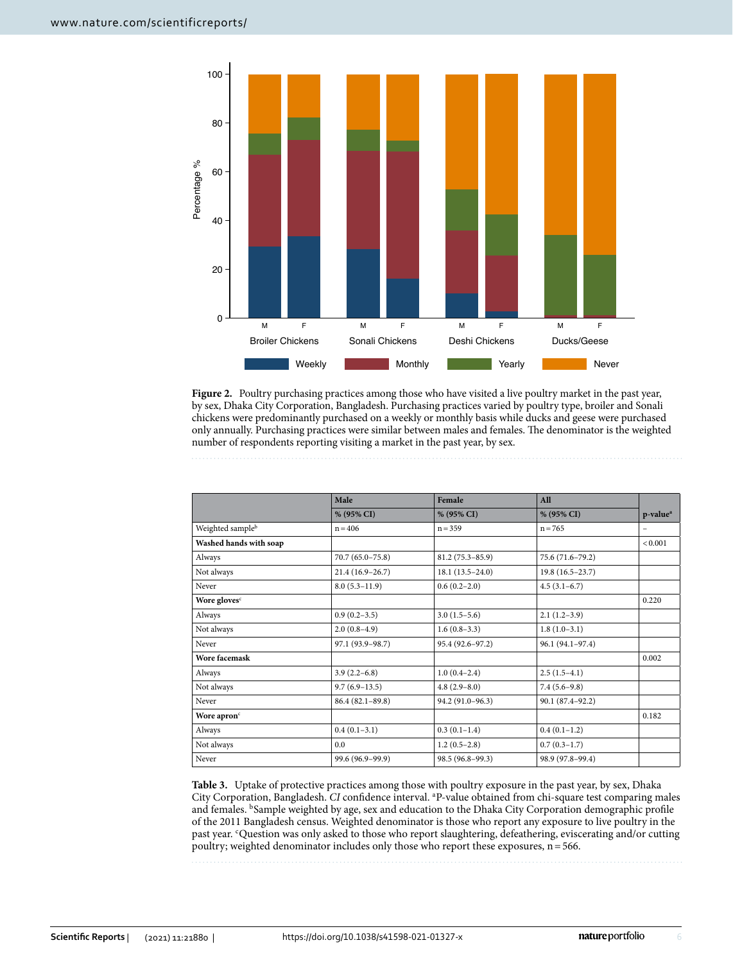

<span id="page-5-0"></span>Figure 2. Poultry purchasing practices among those who have visited a live poultry market in the past year, by sex, Dhaka City Corporation, Bangladesh. Purchasing practices varied by poultry type, broiler and Sonali chickens were predominantly purchased on a weekly or monthly basis while ducks and geese were purchased only annually. Purchasing practices were similar between males and females. The denominator is the weighted number of respondents reporting visiting a market in the past year, by sex.

|                              | Male                 | Female              | All                 |                          |
|------------------------------|----------------------|---------------------|---------------------|--------------------------|
|                              | % (95% CI)           | % (95% CI)          | % (95% CI)          | p-value <sup>a</sup>     |
| Weighted sample <sup>b</sup> | $n = 406$            | $n = 359$           | $n = 765$           | $\overline{\phantom{0}}$ |
| Washed hands with soap       |                      |                     |                     | < 0.001                  |
| Always                       | $70.7(65.0 - 75.8)$  | $81.2(75.3 - 85.9)$ | 75.6 (71.6-79.2)    |                          |
| Not always                   | $21.4(16.9-26.7)$    | $18.1(13.5-24.0)$   | $19.8(16.5-23.7)$   |                          |
| Never                        | $8.0(5.3-11.9)$      | $0.6(0.2-2.0)$      | $4.5(3.1-6.7)$      |                          |
| Wore gloves <sup>c</sup>     |                      |                     |                     | 0.220                    |
| Always                       | $0.9(0.2-3.5)$       | $3.0(1.5-5.6)$      | $2.1(1.2-3.9)$      |                          |
| Not always                   | $2.0(0.8-4.9)$       | $1.6(0.8-3.3)$      | $1.8(1.0-3.1)$      |                          |
| Never                        | 97.1 (93.9-98.7)     | 95.4 (92.6-97.2)    | 96.1 (94.1-97.4)    |                          |
| Wore facemask                |                      |                     |                     | 0.002                    |
| Always                       | $3.9(2.2-6.8)$       | $1.0(0.4-2.4)$      | $2.5(1.5-4.1)$      |                          |
| Not always                   | $9.7(6.9-13.5)$      | $4.8(2.9-8.0)$      | $7.4(5.6-9.8)$      |                          |
| Never                        | $86.4 (82.1 - 89.8)$ | 94.2 (91.0-96.3)    | $90.1(87.4 - 92.2)$ |                          |
| Wore apron <sup>c</sup>      |                      |                     |                     | 0.182                    |
| Always                       | $0.4(0.1-3.1)$       | $0.3(0.1-1.4)$      | $0.4(0.1-1.2)$      |                          |
| Not always                   | 0.0                  | $1.2(0.5-2.8)$      | $0.7(0.3-1.7)$      |                          |
| Never                        | 99.6 (96.9–99.9)     | $98.5(96.8-99.3)$   | 98.9 (97.8-99.4)    |                          |

<span id="page-5-1"></span>**Table 3.** Uptake of protective practices among those with poultry exposure in the past year, by sex, Dhaka City Corporation, Bangladesh. *CI* confdence interval. a P-value obtained from chi-square test comparing males and females. <sup>b</sup>Sample weighted by age, sex and education to the Dhaka City Corporation demographic profile of the 2011 Bangladesh census. Weighted denominator is those who report any exposure to live poultry in the past year. <sup>c</sup>Question was only asked to those who report slaughtering, defeathering, eviscerating and/or cutting poultry; weighted denominator includes only those who report these exposures, n=566.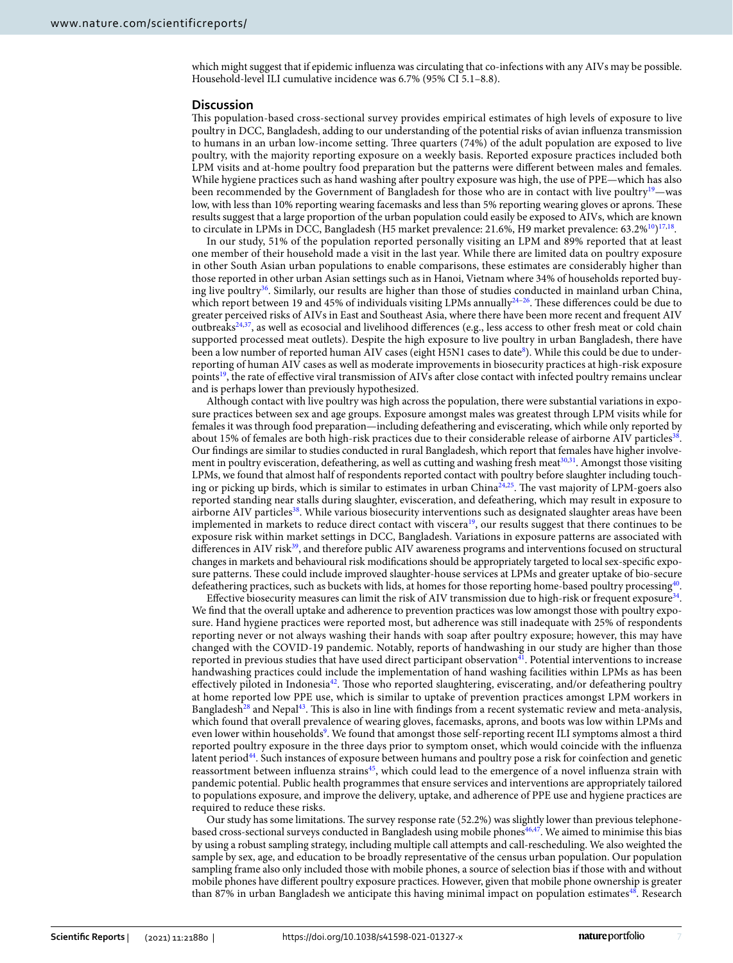which might suggest that if epidemic infuenza was circulating that co-infections with any AIVs may be possible. Household-level ILI cumulative incidence was 6.7% (95% CI 5.1–8.8).

#### **Discussion**

Tis population-based cross-sectional survey provides empirical estimates of high levels of exposure to live poultry in DCC, Bangladesh, adding to our understanding of the potential risks of avian infuenza transmission to humans in an urban low-income setting. Three quarters (74%) of the adult population are exposed to live poultry, with the majority reporting exposure on a weekly basis. Reported exposure practices included both LPM visits and at-home poultry food preparation but the patterns were diferent between males and females. While hygiene practices such as hand washing afer poultry exposure was high, the use of PPE—which has also been recommended by the Government of Bangladesh for those who are in contact with live poultry<sup>[19](#page-7-14)</sup>—was low, with less than 10% reporting wearing facemasks and less than 5% reporting wearing gloves or aprons. These results suggest that a large proportion of the urban population could easily be exposed to AIVs, which are known to circulate in LPMs in DCC, Bangladesh (H5 market prevalence: 21.6%, H9 market prevalence: 63.2%<sup>10</sup>)<sup>17,18</sup>.

In our study, 51% of the population reported personally visiting an LPM and 89% reported that at least one member of their household made a visit in the last year. While there are limited data on poultry exposure in other South Asian urban populations to enable comparisons, these estimates are considerably higher than those reported in other urban Asian settings such as in Hanoi, Vietnam where 34% of households reported buying live poultry<sup>36</sup>. Similarly, our results are higher than those of studies conducted in mainland urban China, which report between 19 and 45% of individuals visiting LPMs annually<sup>24–26</sup>. These differences could be due to greater perceived risks of AIVs in East and Southeast Asia, where there have been more recent and frequent AIV outbreaks<sup>[24](#page-7-19),[37](#page-8-6)</sup>, as well as ecosocial and livelihood differences (e.g., less access to other fresh meat or cold chain supported processed meat outlets). Despite the high exposure to live poultry in urban Bangladesh, there have been a low number of reported human AIV cases (eight H5N1 cases to date $^{\circ}$ ). While this could be due to underreporting of human AIV cases as well as moderate improvements in biosecurity practices at high-risk exposure point[s19](#page-7-14), the rate of efective viral transmission of AIVs afer close contact with infected poultry remains unclear and is perhaps lower than previously hypothesized.

Although contact with live poultry was high across the population, there were substantial variations in exposure practices between sex and age groups. Exposure amongst males was greatest through LPM visits while for females it was through food preparation—including defeathering and eviscerating, which while only reported by about 15% of females are both high-risk practices due to their considerable release of airborne AIV particles<sup>38</sup>. Our fndings are similar to studies conducted in rural Bangladesh, which report that females have higher involvement in poultry evisceration, defeathering, as well as cutting and washing fresh meat<sup>30,31</sup>. Amongst those visiting LPMs, we found that almost half of respondents reported contact with poultry before slaughter including touch-ing or picking up birds, which is similar to estimates in urban China<sup>[24,](#page-7-19)25</sup>. The vast majority of LPM-goers also reported standing near stalls during slaughter, evisceration, and defeathering, which may result in exposure to airborne AIV particles<sup>[38](#page-8-7)</sup>. While various biosecurity interventions such as designated slaughter areas have been implemented in markets to reduce direct contact with viscera<sup>19</sup>, our results suggest that there continues to be exposure risk within market settings in DCC, Bangladesh. Variations in exposure patterns are associated with differences in AIV risk<sup>39</sup>, and therefore public AIV awareness programs and interventions focused on structural changes in markets and behavioural risk modifcations should be appropriately targeted to local sex-specifc exposure patterns. These could include improved slaughter-house services at LPMs and greater uptake of bio-secure defeathering practices, such as buckets with lids, at homes for those reporting home-based poultry processing $40$ .

Effective biosecurity measures can limit the risk of AIV transmission due to high-risk or frequent exposure<sup>[34](#page-8-3)</sup>. We fnd that the overall uptake and adherence to prevention practices was low amongst those with poultry exposure. Hand hygiene practices were reported most, but adherence was still inadequate with 25% of respondents reporting never or not always washing their hands with soap afer poultry exposure; however, this may have changed with the COVID-19 pandemic. Notably, reports of handwashing in our study are higher than those reported in previous studies that have used direct participant observation<sup>[41](#page-8-10)</sup>. Potential interventions to increase handwashing practices could include the implementation of hand washing facilities within LPMs as has been effectively piloted in Indonesia<sup>42</sup>. Those who reported slaughtering, eviscerating, and/or defeathering poultry at home reported low PPE use, which is similar to uptake of prevention practices amongst LPM workers in Bangladesh<sup>[28](#page-7-22)</sup> and Nepal<sup>[43](#page-8-12)</sup>. This is also in line with findings from a recent systematic review and meta-analysis, which found that overall prevalence of wearing gloves, facemasks, aprons, and boots was low within LPMs and even lower within households<sup>[9](#page-7-6)</sup>. We found that amongst those self-reporting recent ILI symptoms almost a third reported poultry exposure in the three days prior to symptom onset, which would coincide with the infuenza latent period<sup>44</sup>. Such instances of exposure between humans and poultry pose a risk for coinfection and genetic reassortment between influenza strains<sup>[45](#page-8-14)</sup>, which could lead to the emergence of a novel influenza strain with pandemic potential. Public health programmes that ensure services and interventions are appropriately tailored to populations exposure, and improve the delivery, uptake, and adherence of PPE use and hygiene practices are required to reduce these risks.

Our study has some limitations. The survey response rate (52.2%) was slightly lower than previous telephone-based cross-sectional surveys conducted in Bangladesh using mobile phones<sup>[46](#page-8-15),[47](#page-8-16)</sup>. We aimed to minimise this bias by using a robust sampling strategy, including multiple call attempts and call-rescheduling. We also weighted the sample by sex, age, and education to be broadly representative of the census urban population. Our population sampling frame also only included those with mobile phones, a source of selection bias if those with and without mobile phones have diferent poultry exposure practices. However, given that mobile phone ownership is greater than 87% in urban Bangladesh we anticipate this having minimal impact on population estimates<sup>48</sup>. Research

7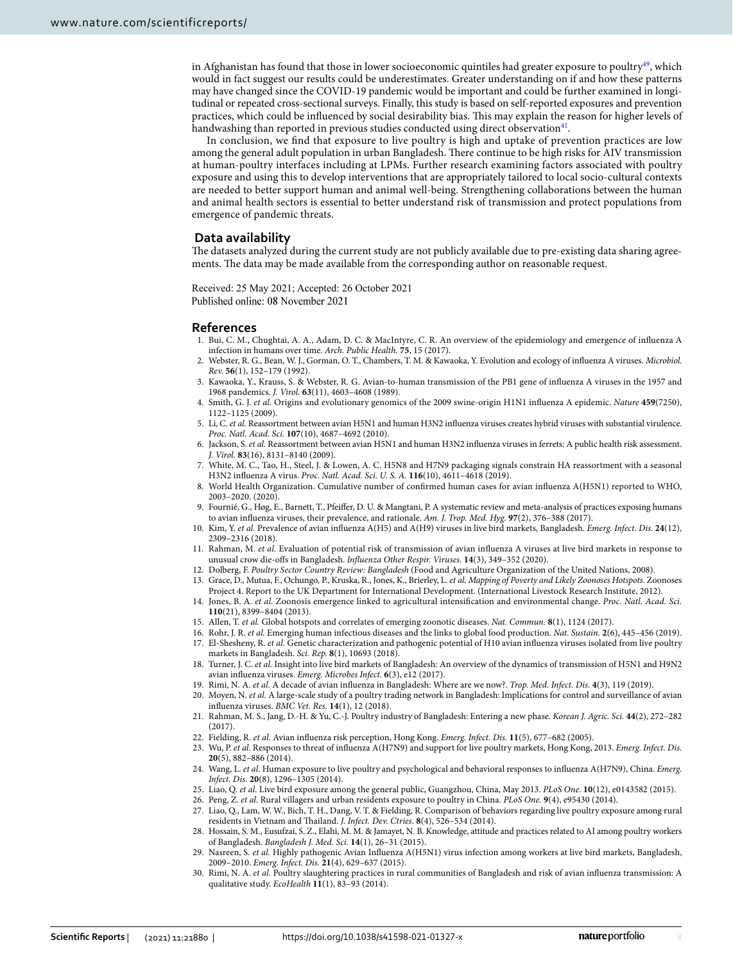in Afghanistan has found that those in lower socioeconomic quintiles had greater exposure to poultry $49$ , which would in fact suggest our results could be underestimates. Greater understanding on if and how these patterns may have changed since the COVID-19 pandemic would be important and could be further examined in longitudinal or repeated cross-sectional surveys. Finally, this study is based on self-reported exposures and prevention practices, which could be infuenced by social desirability bias. Tis may explain the reason for higher levels of handwashing than reported in previous studies conducted using direct observation $4<sup>1</sup>$ .

In conclusion, we fnd that exposure to live poultry is high and uptake of prevention practices are low among the general adult population in urban Bangladesh. There continue to be high risks for AIV transmission at human-poultry interfaces including at LPMs. Further research examining factors associated with poultry exposure and using this to develop interventions that are appropriately tailored to local socio-cultural contexts are needed to better support human and animal well-being. Strengthening collaborations between the human and animal health sectors is essential to better understand risk of transmission and protect populations from emergence of pandemic threats.

#### **Data availability**

The datasets analyzed during the current study are not publicly available due to pre-existing data sharing agreements. The data may be made available from the corresponding author on reasonable request.

Received: 25 May 2021; Accepted: 26 October 2021 Published online: 08 November 2021

#### **References**

- <span id="page-7-0"></span>1. Bui, C. M., Chughtai, A. A., Adam, D. C. & MacIntyre, C. R. An overview of the epidemiology and emergence of infuenza A infection in humans over time. *Arch. Public Health.* **75**, 15 (2017).
- <span id="page-7-1"></span>2. Webster, R. G., Bean, W. J., Gorman, O. T., Chambers, T. M. & Kawaoka, Y. Evolution and ecology of infuenza A viruses. *Microbiol. Rev.* **56**(1), 152–179 (1992).
- 3. Kawaoka, Y., Krauss, S. & Webster, R. G. Avian-to-human transmission of the PB1 gene of infuenza A viruses in the 1957 and 1968 pandemics. *J. Virol.* **63**(11), 4603–4608 (1989).
- <span id="page-7-2"></span>4. Smith, G. J. *et al.* Origins and evolutionary genomics of the 2009 swine-origin H1N1 infuenza A epidemic. *Nature* **459**(7250), 1122–1125 (2009).
- <span id="page-7-3"></span>5. Li, C. *et al.* Reassortment between avian H5N1 and human H3N2 infuenza viruses creates hybrid viruses with substantial virulence. *Proc. Natl. Acad. Sci.* **107**(10), 4687–4692 (2010).
- 6. Jackson, S. *et al.* Reassortment between avian H5N1 and human H3N2 infuenza viruses in ferrets: A public health risk assessment. *J. Virol.* **83**(16), 8131–8140 (2009).
- <span id="page-7-4"></span>7. White, M. C., Tao, H., Steel, J. & Lowen, A. C. H5N8 and H7N9 packaging signals constrain HA reassortment with a seasonal H3N2 infuenza A virus. *Proc. Natl. Acad. Sci. U. S. A.* **116**(10), 4611–4618 (2019).
- <span id="page-7-5"></span>8. World Health Organization. Cumulative number of confrmed human cases for avian infuenza A(H5N1) reported to WHO, 2003–2020. (2020).
- <span id="page-7-6"></span>9. Fournié, G., Høg, E., Barnett, T., Pfeifer, D. U. & Mangtani, P. A systematic review and meta-analysis of practices exposing humans to avian infuenza viruses, their prevalence, and rationale. *Am. J. Trop. Med. Hyg.* **97**(2), 376–388 (2017).
- <span id="page-7-26"></span>10. Kim, Y. *et al.* Prevalence of avian infuenza A(H5) and A(H9) viruses in live bird markets, Bangladesh. *Emerg. Infect. Dis.* **24**(12), 2309–2316 (2018).
- <span id="page-7-7"></span>11. Rahman, M. *et al.* Evaluation of potential risk of transmission of avian infuenza A viruses at live bird markets in response to unusual crow die-ofs in Bangladesh. *Infuenza Other Respir. Viruses.* **14**(3), 349–352 (2020).
- <span id="page-7-8"></span>12. Dolberg, F. *Poultry Sector Country Review: Bangladesh* (Food and Agriculture Organization of the United Nations, 2008).
- <span id="page-7-9"></span>13. Grace, D., Mutua, F., Ochungo, P., Kruska, R., Jones, K., Brierley, L. *et al*. *Mapping of Poverty and Likely Zoonoses Hotspots*. Zoonoses Project 4. Report to the UK Department for International Development. (International Livestock Research Institute, 2012).
- <span id="page-7-10"></span>14. Jones, B. A. *et al.* Zoonosis emergence linked to agricultural intensifcation and environmental change. *Proc. Natl. Acad. Sci.* **110**(21), 8399–8404 (2013).
- 15. Allen, T. *et al.* Global hotspots and correlates of emerging zoonotic diseases. *Nat. Commun.* **8**(1), 1124 (2017).
- <span id="page-7-12"></span><span id="page-7-11"></span>16. Rohr, J. R. *et al.* Emerging human infectious diseases and the links to global food production. *Nat. Sustain.* **2**(6), 445–456 (2019). 17. El-Shesheny, R. *et al.* Genetic characterization and pathogenic potential of H10 avian infuenza viruses isolated from live poultry
- <span id="page-7-13"></span>markets in Bangladesh. *Sci. Rep.* **8**(1), 10693 (2018). 18. Turner, J. C. *et al.* Insight into live bird markets of Bangladesh: An overview of the dynamics of transmission of H5N1 and H9N2
- avian infuenza viruses. *Emerg. Microbes Infect.* **6**(3), e12 (2017).
- <span id="page-7-14"></span>19. Rimi, N. A. *et al.* A decade of avian infuenza in Bangladesh: Where are we now?. *Trop. Med. Infect. Dis.* **4**(3), 119 (2019).
- <span id="page-7-15"></span>20. Moyen, N. *et al.* A large-scale study of a poultry trading network in Bangladesh: Implications for control and surveillance of avian infuenza viruses. *BMC Vet. Res.* **14**(1), 12 (2018).
- <span id="page-7-16"></span>21. Rahman, M. S., Jang, D.-H. & Yu, C.-J. Poultry industry of Bangladesh: Entering a new phase. *Korean J. Agric. Sci.* **44**(2), 272–282 (2017).
- <span id="page-7-17"></span>22. Fielding, R. *et al.* Avian infuenza risk perception, Hong Kong. *Emerg. Infect. Dis.* **11**(5), 677–682 (2005).
- <span id="page-7-18"></span>23. Wu, P. *et al.* Responses to threat of infuenza A(H7N9) and support for live poultry markets, Hong Kong, 2013. *Emerg. Infect. Dis.* **20**(5), 882–886 (2014).
- <span id="page-7-19"></span>24. Wang, L. *et al.* Human exposure to live poultry and psychological and behavioral responses to infuenza A(H7N9), China. *Emerg. Infect. Dis.* **20**(8), 1296–1305 (2014).
- <span id="page-7-25"></span>25. Liao, Q. *et al.* Live bird exposure among the general public, Guangzhou, China, May 2013. *PLoS One.* **10**(12), e0143582 (2015).
- <span id="page-7-21"></span><span id="page-7-20"></span>26. Peng, Z. *et al.* Rural villagers and urban residents exposure to poultry in China. *PLoS One.* **9**(4), e95430 (2014). 27. Liao, Q., Lam, W. W., Bich, T. H., Dang, V. T. & Fielding, R. Comparison of behaviors regarding live poultry exposure among rural
- residents in Vietnam and Thailand. *J. Infect. Dev. Ctries.* 8(4), 526-534 (2014).
- <span id="page-7-22"></span>28. Hossain, S. M., Eusufzai, S. Z., Elahi, M. M. & Jamayet, N. B. Knowledge, attitude and practices related to AI among poultry workers of Bangladesh. *Bangladesh J. Med. Sci.* **14**(1), 26–31 (2015).
- <span id="page-7-23"></span>29. Nasreen, S. *et al.* Highly pathogenic Avian Infuenza A(H5N1) virus infection among workers at live bird markets, Bangladesh, 2009–2010. *Emerg. Infect. Dis.* **21**(4), 629–637 (2015).
- <span id="page-7-24"></span>30. Rimi, N. A. *et al.* Poultry slaughtering practices in rural communities of Bangladesh and risk of avian infuenza transmission: A qualitative study. *EcoHealth* **11**(1), 83–93 (2014).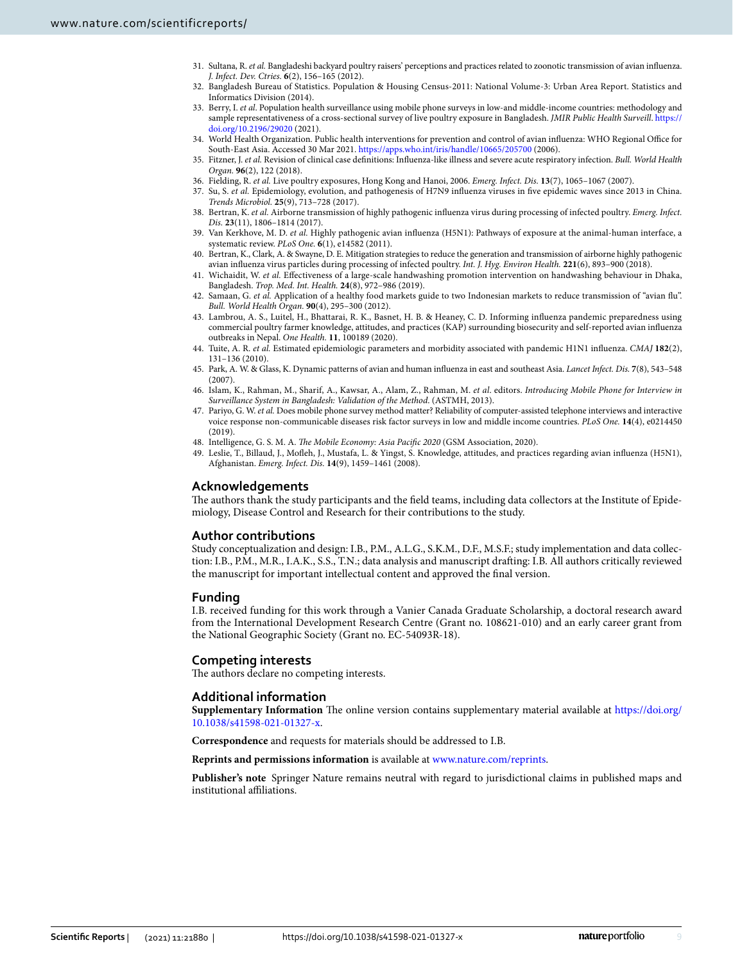- <span id="page-8-0"></span>31. Sultana, R. *et al.* Bangladeshi backyard poultry raisers' perceptions and practices related to zoonotic transmission of avian infuenza. *J. Infect. Dev. Ctries.* **6**(2), 156–165 (2012).
- <span id="page-8-1"></span>32. Bangladesh Bureau of Statistics. Population & Housing Census-2011: National Volume-3: Urban Area Report. Statistics and Informatics Division (2014).
- <span id="page-8-2"></span>33. Berry, I. *et al*. Population health surveillance using mobile phone surveys in low-and middle-income countries: methodology and sample representativeness of a cross-sectional survey of live poultry exposure in Bangladesh. *JMIR Public Health Surveill*. [https://](https://doi.org/10.2196/29020) [doi.org/10.2196/29020](https://doi.org/10.2196/29020) (2021).
- <span id="page-8-3"></span>34. World Health Organization. Public health interventions for prevention and control of avian influenza: WHO Regional Office for South-East Asia. Accessed 30 Mar 2021.<https://apps.who.int/iris/handle/10665/205700> (2006).
- <span id="page-8-4"></span>35. Fitzner, J. *et al.* Revision of clinical case defnitions: Infuenza-like illness and severe acute respiratory infection. *Bull. World Health Organ.* **96**(2), 122 (2018).
- <span id="page-8-5"></span>36. Fielding, R. *et al.* Live poultry exposures, Hong Kong and Hanoi, 2006. *Emerg. Infect. Dis.* **13**(7), 1065–1067 (2007).
- <span id="page-8-6"></span>37. Su, S. *et al.* Epidemiology, evolution, and pathogenesis of H7N9 infuenza viruses in fve epidemic waves since 2013 in China. *Trends Microbiol.* **25**(9), 713–728 (2017).
- <span id="page-8-7"></span>38. Bertran, K. *et al.* Airborne transmission of highly pathogenic infuenza virus during processing of infected poultry. *Emerg. Infect. Dis.* **23**(11), 1806–1814 (2017).
- <span id="page-8-8"></span>39. Van Kerkhove, M. D. *et al.* Highly pathogenic avian infuenza (H5N1): Pathways of exposure at the animal-human interface, a systematic review. *PLoS One.* **6**(1), e14582 (2011).
- <span id="page-8-9"></span>40. Bertran, K., Clark, A. & Swayne, D. E. Mitigation strategies to reduce the generation and transmission of airborne highly pathogenic avian infuenza virus particles during processing of infected poultry. *Int. J. Hyg. Environ Health.* **221**(6), 893–900 (2018).
- <span id="page-8-10"></span>41. Wichaidit, W. *et al.* Efectiveness of a large-scale handwashing promotion intervention on handwashing behaviour in Dhaka, Bangladesh. *Trop. Med. Int. Health.* **24**(8), 972–986 (2019).
- <span id="page-8-11"></span>42. Samaan, G. *et al.* Application of a healthy food markets guide to two Indonesian markets to reduce transmission of "avian fu". *Bull. World Health Organ.* **90**(4), 295–300 (2012).
- <span id="page-8-12"></span>43. Lambrou, A. S., Luitel, H., Bhattarai, R. K., Basnet, H. B. & Heaney, C. D. Informing infuenza pandemic preparedness using commercial poultry farmer knowledge, attitudes, and practices (KAP) surrounding biosecurity and self-reported avian infuenza outbreaks in Nepal. *One Health.* **11**, 100189 (2020).
- <span id="page-8-13"></span>44. Tuite, A. R. *et al.* Estimated epidemiologic parameters and morbidity associated with pandemic H1N1 infuenza. *CMAJ* **182**(2), 131–136 (2010).
- <span id="page-8-14"></span>45. Park, A. W. & Glass, K. Dynamic patterns of avian and human infuenza in east and southeast Asia. *Lancet Infect. Dis.* **7**(8), 543–548  $(2007)$
- <span id="page-8-15"></span>46. Islam, K., Rahman, M., Sharif, A., Kawsar, A., Alam, Z., Rahman, M. *et al*. editors. *Introducing Mobile Phone for Interview in Surveillance System in Bangladesh: Validation of the Method*. (ASTMH, 2013).
- <span id="page-8-16"></span>47. Pariyo, G. W. *et al.* Does mobile phone survey method matter? Reliability of computer-assisted telephone interviews and interactive voice response non-communicable diseases risk factor surveys in low and middle income countries. *PLoS One.* **14**(4), e0214450 (2019).
- <span id="page-8-17"></span>48. Intelligence, G. S. M. A. *The Mobile Economy: Asia Pacific 2020* (GSM Association, 2020).
- <span id="page-8-18"></span>49. Leslie, T., Billaud, J., Mofeh, J., Mustafa, L. & Yingst, S. Knowledge, attitudes, and practices regarding avian infuenza (H5N1), Afghanistan. *Emerg. Infect. Dis.* **14**(9), 1459–1461 (2008).

# **Acknowledgements**

The authors thank the study participants and the field teams, including data collectors at the Institute of Epidemiology, Disease Control and Research for their contributions to the study.

## **Author contributions**

Study conceptualization and design: I.B., P.M., A.L.G., S.K.M., D.F., M.S.F.; study implementation and data collection: I.B., P.M., M.R., I.A.K., S.S., T.N.; data analysis and manuscript drafing: I.B. All authors critically reviewed the manuscript for important intellectual content and approved the fnal version.

## **Funding**

I.B. received funding for this work through a Vanier Canada Graduate Scholarship, a doctoral research award from the International Development Research Centre (Grant no. 108621-010) and an early career grant from the National Geographic Society (Grant no. EC-54093R-18).

# **Competing interests**

The authors declare no competing interests.

# **Additional information**

**Supplementary Information** The online version contains supplementary material available at [https://doi.org/](https://doi.org/10.1038/s41598-021-01327-x) [10.1038/s41598-021-01327-x](https://doi.org/10.1038/s41598-021-01327-x).

**Correspondence** and requests for materials should be addressed to I.B.

#### **Reprints and permissions information** is available at [www.nature.com/reprints.](www.nature.com/reprints)

**Publisher's note** Springer Nature remains neutral with regard to jurisdictional claims in published maps and institutional afliations.